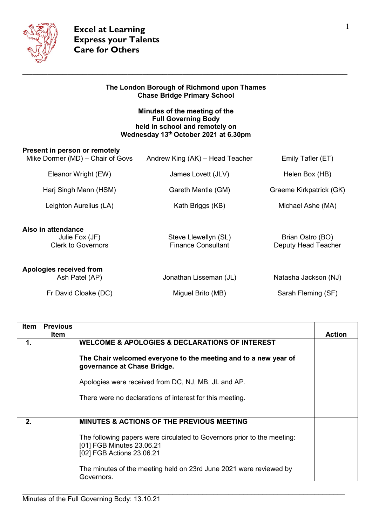

## **The London Borough of Richmond upon Thames Chase Bridge Primary School**

## **Minutes of the meeting of the Full Governing Body held in school and remotely on Wednesday 13th October 2021 at 6.30pm**

| Present in person or remotely<br>Mike Dormer (MD) – Chair of Govs | Andrew King (AK) – Head Teacher                   | Emily Tafler (ET)                       |
|-------------------------------------------------------------------|---------------------------------------------------|-----------------------------------------|
| Eleanor Wright (EW)                                               | James Lovett (JLV)                                | Helen Box (HB)                          |
| Harj Singh Mann (HSM)                                             | Gareth Mantle (GM)                                | Graeme Kirkpatrick (GK)                 |
| Leighton Aurelius (LA)                                            | Kath Briggs (KB)                                  | Michael Ashe (MA)                       |
| Also in attendance<br>Julie Fox (JF)<br><b>Clerk to Governors</b> | Steve Llewellyn (SL)<br><b>Finance Consultant</b> | Brian Ostro (BO)<br>Deputy Head Teacher |
| Apologies received from<br>Ash Patel (AP)                         | Jonathan Lisseman (JL)                            | Natasha Jackson (NJ)                    |
| Fr David Cloake (DC)                                              | Miguel Brito (MB)                                 | Sarah Fleming (SF)                      |

| Item | <b>Previous</b><br><b>Item</b> |                                                                                                                                   | <b>Action</b> |
|------|--------------------------------|-----------------------------------------------------------------------------------------------------------------------------------|---------------|
| 1.   |                                | <b>WELCOME &amp; APOLOGIES &amp; DECLARATIONS OF INTEREST</b>                                                                     |               |
|      |                                | The Chair welcomed everyone to the meeting and to a new year of<br>governance at Chase Bridge.                                    |               |
|      |                                | Apologies were received from DC, NJ, MB, JL and AP.                                                                               |               |
|      |                                | There were no declarations of interest for this meeting.                                                                          |               |
|      |                                |                                                                                                                                   |               |
| 2.   |                                | <b>MINUTES &amp; ACTIONS OF THE PREVIOUS MEETING</b>                                                                              |               |
|      |                                | The following papers were circulated to Governors prior to the meeting:<br>[01] FGB Minutes 23.06.21<br>[02] FGB Actions 23.06.21 |               |
|      |                                | The minutes of the meeting held on 23rd June 2021 were reviewed by<br>Governors.                                                  |               |

 $\_$  , and the set of the set of the set of the set of the set of the set of the set of the set of the set of the set of the set of the set of the set of the set of the set of the set of the set of the set of the set of th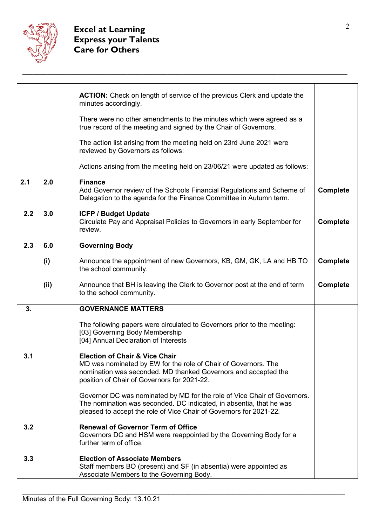

|     |      | <b>ACTION:</b> Check on length of service of the previous Clerk and update the<br>minutes accordingly.                                                                                                                       |                 |
|-----|------|------------------------------------------------------------------------------------------------------------------------------------------------------------------------------------------------------------------------------|-----------------|
|     |      |                                                                                                                                                                                                                              |                 |
|     |      | There were no other amendments to the minutes which were agreed as a<br>true record of the meeting and signed by the Chair of Governors.                                                                                     |                 |
|     |      | The action list arising from the meeting held on 23rd June 2021 were<br>reviewed by Governors as follows:                                                                                                                    |                 |
|     |      | Actions arising from the meeting held on 23/06/21 were updated as follows:                                                                                                                                                   |                 |
| 2.1 | 2.0  | <b>Finance</b><br>Add Governor review of the Schools Financial Regulations and Scheme of<br>Delegation to the agenda for the Finance Committee in Autumn term.                                                               | <b>Complete</b> |
| 2.2 | 3.0  | <b>ICFP / Budget Update</b><br>Circulate Pay and Appraisal Policies to Governors in early September for<br>review.                                                                                                           | <b>Complete</b> |
| 2.3 | 6.0  | <b>Governing Body</b>                                                                                                                                                                                                        |                 |
|     | (i)  | Announce the appointment of new Governors, KB, GM, GK, LA and HB TO<br>the school community.                                                                                                                                 | <b>Complete</b> |
|     | (ii) | Announce that BH is leaving the Clerk to Governor post at the end of term<br>to the school community.                                                                                                                        | <b>Complete</b> |
| 3.  |      | <b>GOVERNANCE MATTERS</b>                                                                                                                                                                                                    |                 |
|     |      | The following papers were circulated to Governors prior to the meeting:<br>[03] Governing Body Membership<br>[04] Annual Declaration of Interests                                                                            |                 |
| 3.1 |      | <b>Election of Chair &amp; Vice Chair</b><br>MD was nominated by EW for the role of Chair of Governors. The<br>nomination was seconded. MD thanked Governors and accepted the<br>position of Chair of Governors for 2021-22. |                 |
|     |      | Governor DC was nominated by MD for the role of Vice Chair of Governors.<br>The nomination was seconded. DC indicated, in absentia, that he was<br>pleased to accept the role of Vice Chair of Governors for 2021-22.        |                 |
| 3.2 |      | <b>Renewal of Governor Term of Office</b><br>Governors DC and HSM were reappointed by the Governing Body for a<br>further term of office.                                                                                    |                 |
| 3.3 |      | <b>Election of Associate Members</b><br>Staff members BO (present) and SF (in absentia) were appointed as<br>Associate Members to the Governing Body.                                                                        |                 |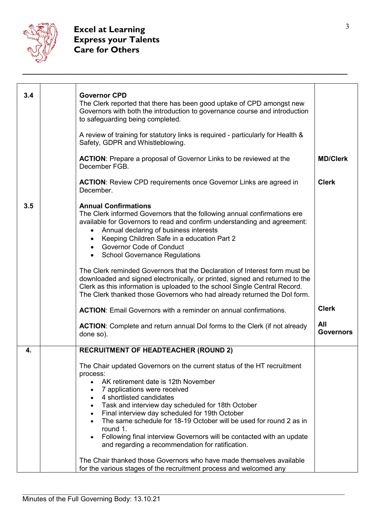

| 3.4 | <b>Governor CPD</b><br>The Clerk reported that there has been good uptake of CPD amongst new<br>Governors with both the introduction to governance course and introduction<br>to safeguarding being completed.<br>A review of training for statutory links is required - particularly for Health &<br>Safety, GDPR and Whistleblowing.                                                                                                                                                                      |                         |
|-----|-------------------------------------------------------------------------------------------------------------------------------------------------------------------------------------------------------------------------------------------------------------------------------------------------------------------------------------------------------------------------------------------------------------------------------------------------------------------------------------------------------------|-------------------------|
|     | <b>ACTION:</b> Prepare a proposal of Governor Links to be reviewed at the<br>December FGB.                                                                                                                                                                                                                                                                                                                                                                                                                  | <b>MD/Clerk</b>         |
|     | <b>ACTION:</b> Review CPD requirements once Governor Links are agreed in<br>December.                                                                                                                                                                                                                                                                                                                                                                                                                       | <b>Clerk</b>            |
| 3.5 | <b>Annual Confirmations</b><br>The Clerk informed Governors that the following annual confirmations ere<br>available for Governors to read and confirm understanding and agreement:<br>Annual declaring of business interests<br>Keeping Children Safe in a education Part 2<br><b>Governor Code of Conduct</b><br>$\bullet$<br>• School Governance Regulations                                                                                                                                             |                         |
|     | The Clerk reminded Governors that the Declaration of Interest form must be<br>downloaded and signed electronically, or printed, signed and returned to the<br>Clerk as this information is uploaded to the school Single Central Record.<br>The Clerk thanked those Governors who had already returned the Dol form.                                                                                                                                                                                        |                         |
|     | <b>ACTION:</b> Email Governors with a reminder on annual confirmations.                                                                                                                                                                                                                                                                                                                                                                                                                                     | <b>Clerk</b>            |
|     | <b>ACTION:</b> Complete and return annual DoI forms to the Clerk (if not already<br>done so).                                                                                                                                                                                                                                                                                                                                                                                                               | All<br><b>Governors</b> |
| 4.  | <b>RECRUITMENT OF HEADTEACHER (ROUND 2)</b>                                                                                                                                                                                                                                                                                                                                                                                                                                                                 |                         |
|     | The Chair updated Governors on the current status of the HT recruitment<br>process:<br>AK retirement date is 12th November<br>7 applications were received<br>4 shortlisted candidates<br>Task and interview day scheduled for 18th October<br>Final interview day scheduled for 19th October<br>The same schedule for 18-19 October will be used for round 2 as in<br>round 1.<br>Following final interview Governors will be contacted with an update<br>and regarding a recommendation for ratification. |                         |
|     | The Chair thanked those Governors who have made themselves available<br>for the various stages of the recruitment process and welcomed any                                                                                                                                                                                                                                                                                                                                                                  |                         |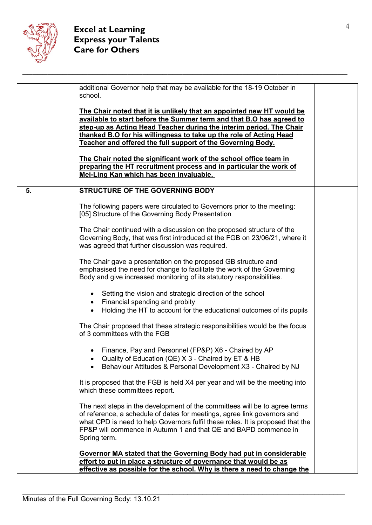

|    | additional Governor help that may be available for the 18-19 October in<br>school.                                                                                                                                                                                                                                                                        |
|----|-----------------------------------------------------------------------------------------------------------------------------------------------------------------------------------------------------------------------------------------------------------------------------------------------------------------------------------------------------------|
|    | The Chair noted that it is unlikely that an appointed new HT would be<br>available to start before the Summer term and that B.O has agreed to<br>step-up as Acting Head Teacher during the interim period. The Chair<br>thanked B.O for his willingness to take up the role of Acting Head<br>Teacher and offered the full support of the Governing Body. |
|    | The Chair noted the significant work of the school office team in                                                                                                                                                                                                                                                                                         |
|    | preparing the HT recruitment process and in particular the work of<br>Mei-Ling Kan which has been invaluable.                                                                                                                                                                                                                                             |
| 5. | <b>STRUCTURE OF THE GOVERNING BODY</b>                                                                                                                                                                                                                                                                                                                    |
|    |                                                                                                                                                                                                                                                                                                                                                           |
|    | The following papers were circulated to Governors prior to the meeting:<br>[05] Structure of the Governing Body Presentation                                                                                                                                                                                                                              |
|    | The Chair continued with a discussion on the proposed structure of the<br>Governing Body, that was first introduced at the FGB on 23/06/21, where it<br>was agreed that further discussion was required.                                                                                                                                                  |
|    | The Chair gave a presentation on the proposed GB structure and<br>emphasised the need for change to facilitate the work of the Governing<br>Body and give increased monitoring of its statutory responsibilities.                                                                                                                                         |
|    | • Setting the vision and strategic direction of the school<br>Financial spending and probity<br>$\bullet$<br>Holding the HT to account for the educational outcomes of its pupils<br>$\bullet$                                                                                                                                                            |
|    | The Chair proposed that these strategic responsibilities would be the focus<br>of 3 committees with the FGB                                                                                                                                                                                                                                               |
|    | Finance, Pay and Personnel (FP&P) X6 - Chaired by AP<br>Quality of Education (QE) X 3 - Chaired by ET & HB<br>Behaviour Attitudes & Personal Development X3 - Chaired by NJ                                                                                                                                                                               |
|    | It is proposed that the FGB is held X4 per year and will be the meeting into<br>which these committees report.                                                                                                                                                                                                                                            |
|    | The next steps in the development of the committees will be to agree terms<br>of reference, a schedule of dates for meetings, agree link governors and<br>what CPD is need to help Governors fulfil these roles. It is proposed that the<br>FP&P will commence in Autumn 1 and that QE and BAPD commence in<br>Spring term.                               |
|    | Governor MA stated that the Governing Body had put in considerable<br>effort to put in place a structure of governance that would be as<br>effective as possible for the school. Why is there a need to change the                                                                                                                                        |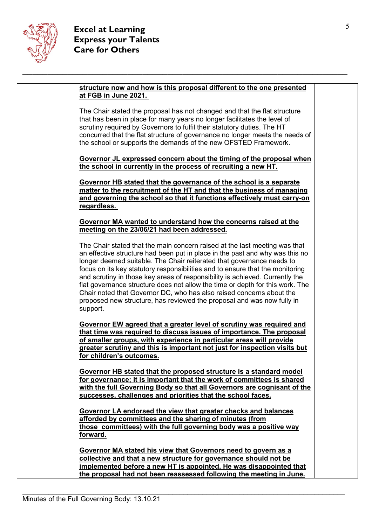

| structure now and how is this proposal different to the one presented<br>at FGB in June 2021.                                                                                                                                                                                                                                                                                                                                                                                                                                                                                                                                                       |
|-----------------------------------------------------------------------------------------------------------------------------------------------------------------------------------------------------------------------------------------------------------------------------------------------------------------------------------------------------------------------------------------------------------------------------------------------------------------------------------------------------------------------------------------------------------------------------------------------------------------------------------------------------|
| The Chair stated the proposal has not changed and that the flat structure<br>that has been in place for many years no longer facilitates the level of<br>scrutiny required by Governors to fulfil their statutory duties. The HT<br>concurred that the flat structure of governance no longer meets the needs of<br>the school or supports the demands of the new OFSTED Framework.                                                                                                                                                                                                                                                                 |
| Governor JL expressed concern about the timing of the proposal when<br>the school in currently in the process of recruiting a new HT.                                                                                                                                                                                                                                                                                                                                                                                                                                                                                                               |
| Governor HB stated that the governance of the school is a separate<br>matter to the recruitment of the HT and that the business of managing<br>and governing the school so that it functions effectively must carry-on<br>regardless.                                                                                                                                                                                                                                                                                                                                                                                                               |
| Governor MA wanted to understand how the concerns raised at the<br>meeting on the 23/06/21 had been addressed.                                                                                                                                                                                                                                                                                                                                                                                                                                                                                                                                      |
| The Chair stated that the main concern raised at the last meeting was that<br>an effective structure had been put in place in the past and why was this no<br>longer deemed suitable. The Chair reiterated that governance needs to<br>focus on its key statutory responsibilities and to ensure that the monitoring<br>and scrutiny in those key areas of responsibility is achieved. Currently the<br>flat governance structure does not allow the time or depth for this work. The<br>Chair noted that Governor DC, who has also raised concerns about the<br>proposed new structure, has reviewed the proposal and was now fully in<br>support. |
| Governor EW agreed that a greater level of scrutiny was required and<br>that time was required to discuss issues of importance. The proposal<br>of smaller groups, with experience in particular areas will provide<br>greater scrutiny and this is important not just for inspection visits but<br>for children's outcomes.                                                                                                                                                                                                                                                                                                                        |
| Governor HB stated that the proposed structure is a standard model<br>for governance; it is important that the work of committees is shared<br>with the full Governing Body so that all Governors are cognisant of the<br>successes, challenges and priorities that the school faces.                                                                                                                                                                                                                                                                                                                                                               |
| Governor LA endorsed the view that greater checks and balances<br>afforded by committees and the sharing of minutes (from<br>those committees) with the full governing body was a positive way<br>forward.                                                                                                                                                                                                                                                                                                                                                                                                                                          |
| Governor MA stated his view that Governors need to govern as a<br>collective and that a new structure for governance should not be<br>implemented before a new HT is appointed. He was disappointed that<br>the proposal had not been reassessed following the meeting in June.                                                                                                                                                                                                                                                                                                                                                                     |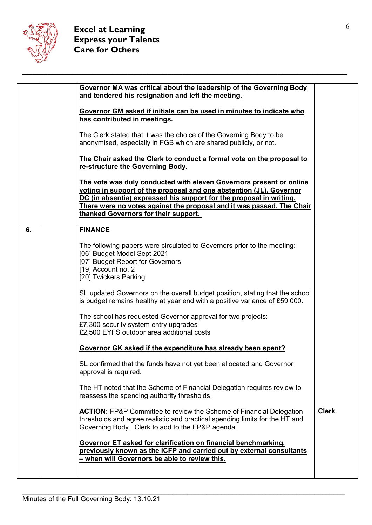

|    | Governor MA was critical about the leadership of the Governing Body<br>and tendered his resignation and left the meeting.                                                                                                                                                                                                          |              |
|----|------------------------------------------------------------------------------------------------------------------------------------------------------------------------------------------------------------------------------------------------------------------------------------------------------------------------------------|--------------|
|    | Governor GM asked if initials can be used in minutes to indicate who<br>has contributed in meetings.                                                                                                                                                                                                                               |              |
|    | The Clerk stated that it was the choice of the Governing Body to be<br>anonymised, especially in FGB which are shared publicly, or not.                                                                                                                                                                                            |              |
|    | The Chair asked the Clerk to conduct a formal vote on the proposal to<br>re-structure the Governing Body.                                                                                                                                                                                                                          |              |
|    | The vote was duly conducted with eleven Governors present or online<br>voting in support of the proposal and one abstention (JL). Governor<br>DC (in absentia) expressed his support for the proposal in writing.<br>There were no votes against the proposal and it was passed. The Chair<br>thanked Governors for their support. |              |
| 6. | <b>FINANCE</b>                                                                                                                                                                                                                                                                                                                     |              |
|    | The following papers were circulated to Governors prior to the meeting:<br>[06] Budget Model Sept 2021<br>[07] Budget Report for Governors<br>[19] Account no. 2<br>[20] Twickers Parking                                                                                                                                          |              |
|    | SL updated Governors on the overall budget position, stating that the school<br>is budget remains healthy at year end with a positive variance of £59,000.                                                                                                                                                                         |              |
|    | The school has requested Governor approval for two projects:<br>£7,300 security system entry upgrades<br>£2,500 EYFS outdoor area additional costs                                                                                                                                                                                 |              |
|    | Governor GK asked if the expenditure has already been spent?                                                                                                                                                                                                                                                                       |              |
|    | SL confirmed that the funds have not yet been allocated and Governor<br>approval is required.                                                                                                                                                                                                                                      |              |
|    | The HT noted that the Scheme of Financial Delegation requires review to<br>reassess the spending authority thresholds.                                                                                                                                                                                                             |              |
|    | <b>ACTION:</b> FP&P Committee to review the Scheme of Financial Delegation<br>thresholds and agree realistic and practical spending limits for the HT and<br>Governing Body. Clerk to add to the FP&P agenda.                                                                                                                      | <b>Clerk</b> |
|    | Governor ET asked for clarification on financial benchmarking,<br>previously known as the ICFP and carried out by external consultants<br>- when will Governors be able to review this.                                                                                                                                            |              |
|    |                                                                                                                                                                                                                                                                                                                                    |              |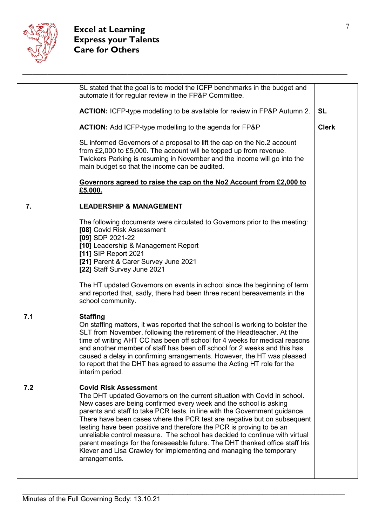

## <sup>7</sup> **Excel at Learning Express your Talents Care for Others**

|     | SL stated that the goal is to model the ICFP benchmarks in the budget and<br>automate it for regular review in the FP&P Committee.                                                                                                                                                                                                                                                                                                                                                                                                                                                                                                                                     |              |
|-----|------------------------------------------------------------------------------------------------------------------------------------------------------------------------------------------------------------------------------------------------------------------------------------------------------------------------------------------------------------------------------------------------------------------------------------------------------------------------------------------------------------------------------------------------------------------------------------------------------------------------------------------------------------------------|--------------|
|     | <b>ACTION:</b> ICFP-type modelling to be available for review in FP&P Autumn 2.                                                                                                                                                                                                                                                                                                                                                                                                                                                                                                                                                                                        | <b>SL</b>    |
|     | <b>ACTION:</b> Add ICFP-type modelling to the agenda for FP&P                                                                                                                                                                                                                                                                                                                                                                                                                                                                                                                                                                                                          | <b>Clerk</b> |
|     | SL informed Governors of a proposal to lift the cap on the No.2 account<br>from £2,000 to £5,000. The account will be topped up from revenue.<br>Twickers Parking is resuming in November and the income will go into the<br>main budget so that the income can be audited.                                                                                                                                                                                                                                                                                                                                                                                            |              |
|     | Governors agreed to raise the cap on the No2 Account from £2,000 to<br>£5,000.                                                                                                                                                                                                                                                                                                                                                                                                                                                                                                                                                                                         |              |
| 7.  | <b>LEADERSHIP &amp; MANAGEMENT</b>                                                                                                                                                                                                                                                                                                                                                                                                                                                                                                                                                                                                                                     |              |
|     | The following documents were circulated to Governors prior to the meeting:<br>[08] Covid Risk Assessment<br>[09] SDP 2021-22<br>[10] Leadership & Management Report                                                                                                                                                                                                                                                                                                                                                                                                                                                                                                    |              |
|     | [11] SIP Report 2021<br>[21] Parent & Carer Survey June 2021<br>[22] Staff Survey June 2021                                                                                                                                                                                                                                                                                                                                                                                                                                                                                                                                                                            |              |
|     | The HT updated Governors on events in school since the beginning of term<br>and reported that, sadly, there had been three recent bereavements in the<br>school community.                                                                                                                                                                                                                                                                                                                                                                                                                                                                                             |              |
| 7.1 | <b>Staffing</b><br>On staffing matters, it was reported that the school is working to bolster the<br>SLT from November, following the retirement of the Headteacher. At the<br>time of writing AHT CC has been off school for 4 weeks for medical reasons<br>and another member of staff has been off school for 2 weeks and this has<br>caused a delay in confirming arrangements. However, the HT was pleased<br>to report that the DHT has agreed to assume the Acting HT role for the<br>interim period.                                                                                                                                                           |              |
| 7.2 | <b>Covid Risk Assessment</b><br>The DHT updated Governors on the current situation with Covid in school.<br>New cases are being confirmed every week and the school is asking<br>parents and staff to take PCR tests, in line with the Government guidance.<br>There have been cases where the PCR test are negative but on subsequent<br>testing have been positive and therefore the PCR is proving to be an<br>unreliable control measure. The school has decided to continue with virtual<br>parent meetings for the foreseeable future. The DHT thanked office staff Iris<br>Klever and Lisa Crawley for implementing and managing the temporary<br>arrangements. |              |
|     |                                                                                                                                                                                                                                                                                                                                                                                                                                                                                                                                                                                                                                                                        |              |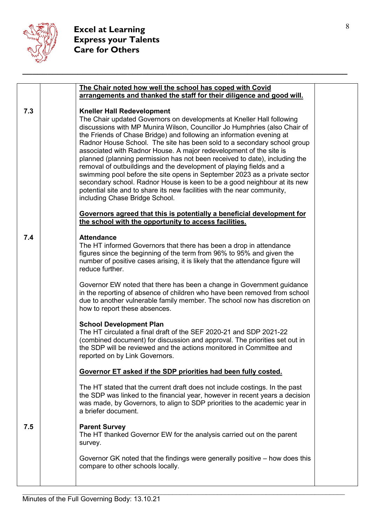

|     | The Chair noted how well the school has coped with Covid<br>arrangements and thanked the staff for their diligence and good will.                                                                                                                                                                                                                                                                                                                                                                                                                                                                                                                                                                                                                                                                                                           |  |
|-----|---------------------------------------------------------------------------------------------------------------------------------------------------------------------------------------------------------------------------------------------------------------------------------------------------------------------------------------------------------------------------------------------------------------------------------------------------------------------------------------------------------------------------------------------------------------------------------------------------------------------------------------------------------------------------------------------------------------------------------------------------------------------------------------------------------------------------------------------|--|
| 7.3 | <b>Kneller Hall Redevelopment</b><br>The Chair updated Governors on developments at Kneller Hall following<br>discussions with MP Munira Wilson, Councillor Jo Humphries (also Chair of<br>the Friends of Chase Bridge) and following an information evening at<br>Radnor House School. The site has been sold to a secondary school group<br>associated with Radnor House. A major redevelopment of the site is<br>planned (planning permission has not been received to date), including the<br>removal of outbuildings and the development of playing fields and a<br>swimming pool before the site opens in September 2023 as a private sector<br>secondary school. Radnor House is keen to be a good neighbour at its new<br>potential site and to share its new facilities with the near community,<br>including Chase Bridge School. |  |
|     | Governors agreed that this is potentially a beneficial development for<br>the school with the opportunity to access facilities.                                                                                                                                                                                                                                                                                                                                                                                                                                                                                                                                                                                                                                                                                                             |  |
| 7.4 | <b>Attendance</b><br>The HT informed Governors that there has been a drop in attendance<br>figures since the beginning of the term from 96% to 95% and given the<br>number of positive cases arising, it is likely that the attendance figure will<br>reduce further.                                                                                                                                                                                                                                                                                                                                                                                                                                                                                                                                                                       |  |
|     | Governor EW noted that there has been a change in Government guidance<br>in the reporting of absence of children who have been removed from school<br>due to another vulnerable family member. The school now has discretion on<br>how to report these absences.                                                                                                                                                                                                                                                                                                                                                                                                                                                                                                                                                                            |  |
|     | <b>School Development Plan</b><br>The HT circulated a final draft of the SEF 2020-21 and SDP 2021-22<br>(combined document) for discussion and approval. The priorities set out in<br>the SDP will be reviewed and the actions monitored in Committee and<br>reported on by Link Governors.                                                                                                                                                                                                                                                                                                                                                                                                                                                                                                                                                 |  |
|     | Governor ET asked if the SDP priorities had been fully costed.                                                                                                                                                                                                                                                                                                                                                                                                                                                                                                                                                                                                                                                                                                                                                                              |  |
|     | The HT stated that the current draft does not include costings. In the past<br>the SDP was linked to the financial year, however in recent years a decision<br>was made, by Governors, to align to SDP priorities to the academic year in<br>a briefer document.                                                                                                                                                                                                                                                                                                                                                                                                                                                                                                                                                                            |  |
| 7.5 | <b>Parent Survey</b><br>The HT thanked Governor EW for the analysis carried out on the parent<br>survey.                                                                                                                                                                                                                                                                                                                                                                                                                                                                                                                                                                                                                                                                                                                                    |  |
|     | Governor GK noted that the findings were generally positive – how does this<br>compare to other schools locally.                                                                                                                                                                                                                                                                                                                                                                                                                                                                                                                                                                                                                                                                                                                            |  |
|     |                                                                                                                                                                                                                                                                                                                                                                                                                                                                                                                                                                                                                                                                                                                                                                                                                                             |  |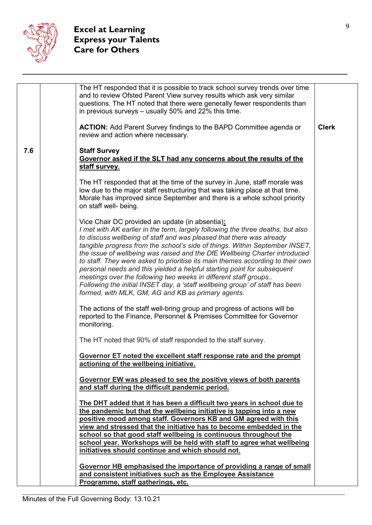

|     | The HT responded that it is possible to track school survey trends over time<br>and to review Ofsted Parent View survey results which ask very similar<br>questions. The HT noted that there were generally fewer respondents than<br>in previous surveys – usually 50% and 22% this time.                                                                                                                                                                                                                                                                                                                                                                                                                                                    |              |
|-----|-----------------------------------------------------------------------------------------------------------------------------------------------------------------------------------------------------------------------------------------------------------------------------------------------------------------------------------------------------------------------------------------------------------------------------------------------------------------------------------------------------------------------------------------------------------------------------------------------------------------------------------------------------------------------------------------------------------------------------------------------|--------------|
|     | <b>ACTION:</b> Add Parent Survey findings to the BAPD Committee agenda or<br>review and action where necessary.                                                                                                                                                                                                                                                                                                                                                                                                                                                                                                                                                                                                                               | <b>Clerk</b> |
| 7.6 | <b>Staff Survey</b><br>Governor asked if the SLT had any concerns about the results of the<br>staff survey.                                                                                                                                                                                                                                                                                                                                                                                                                                                                                                                                                                                                                                   |              |
|     | The HT responded that at the time of the survey in June, staff morale was<br>low due to the major staff restructuring that was taking place at that time.<br>Morale has improved since September and there is a whole school priority<br>on staff well- being.                                                                                                                                                                                                                                                                                                                                                                                                                                                                                |              |
|     | Vice Chair DC provided an update (in absentia):<br>I met with AK earlier in the term, largely following the three deaths, but also<br>to discuss wellbeing of staff and was pleased that there was already<br>tangible progress from the school's side of things. Within September INSET,<br>the issue of wellbeing was raised and the DfE Wellbeing Charter introduced<br>to staff. They were asked to prioritise its main themes according to their own<br>personal needs and this yielded a helpful starting point for subsequent<br>meetings over the following two weeks in different staff groups<br>Following the initial INSET day, a 'staff wellbeing group' of staff has been<br>formed, with MLK, GM, AG and KB as primary agents. |              |
|     | The actions of the staff well-bring group and progress of actions will be<br>reported to the Finance, Personnel & Premises Committee for Governor<br>monitoring.                                                                                                                                                                                                                                                                                                                                                                                                                                                                                                                                                                              |              |
|     | The HT noted that 90% of staff responded to the staff survey.                                                                                                                                                                                                                                                                                                                                                                                                                                                                                                                                                                                                                                                                                 |              |
|     | Governor ET noted the excellent staff response rate and the prompt<br>actioning of the wellbeing initiative.                                                                                                                                                                                                                                                                                                                                                                                                                                                                                                                                                                                                                                  |              |
|     | Governor EW was pleased to see the positive views of both parents<br>and staff during the difficult pandemic period.                                                                                                                                                                                                                                                                                                                                                                                                                                                                                                                                                                                                                          |              |
|     | The DHT added that it has been a difficult two years in school due to<br>the pandemic but that the wellbeing initiative is tapping into a new<br>positive mood among staff. Governors KB and GM agreed with this<br>view and stressed that the initiative has to become embedded in the<br>school so that good staff wellbeing is continuous throughout the<br>school year. Workshops will be held with staff to agree what wellbeing<br>initiatives should continue and which should not.                                                                                                                                                                                                                                                    |              |
|     | Governor HB emphasised the importance of providing a range of small<br>and consistent initiatives such as the Employee Assistance<br>Programme, staff gatherings, etc.                                                                                                                                                                                                                                                                                                                                                                                                                                                                                                                                                                        |              |